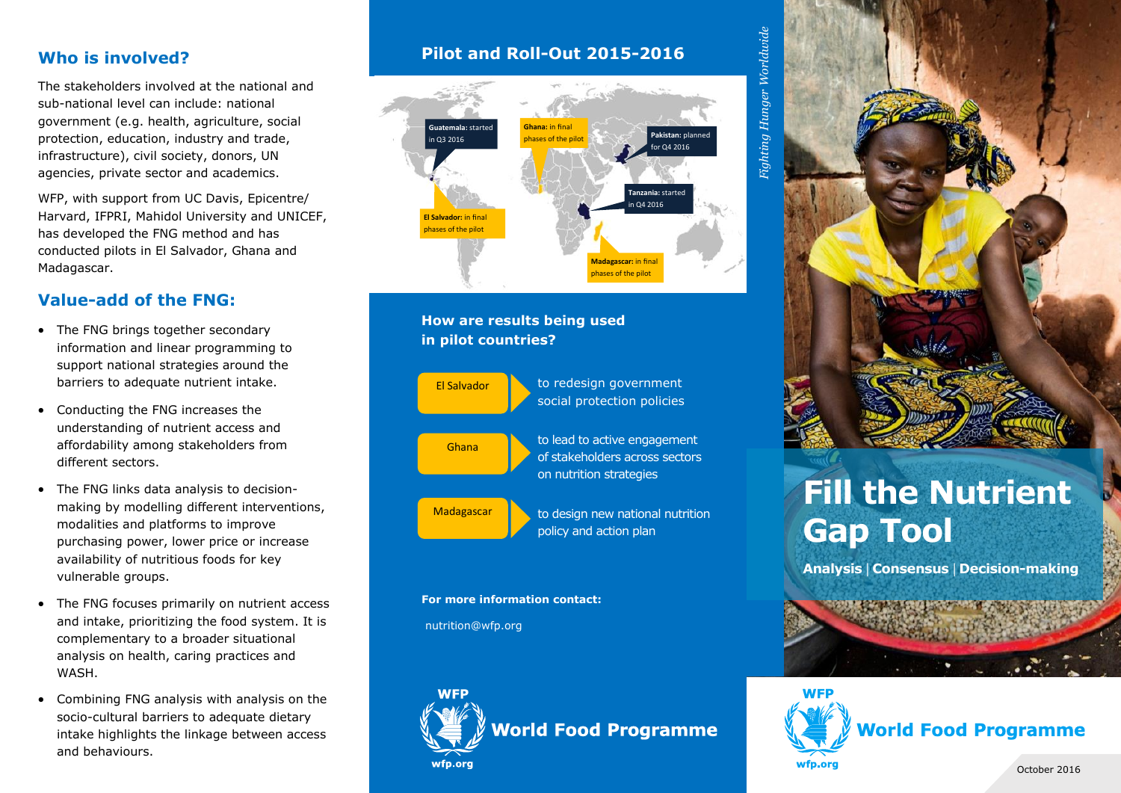### **Who is involved?**

The stakeholders involved at the national and sub-national level can include: national government (e.g. health, agriculture, social protection, education, industry and trade, infrastructure), civil society, donors, UN agencies, private sector and academics.

WFP, with support from UC Davis, Epicentre/ Harvard, IFPRI, Mahidol University and UNICEF, has developed the FNG method and has conducted pilots in El Salvador, Ghana and Madagascar.

## **Value-add of the FNG:**

- The FNG brings together secondary information and linear programming to support national strategies around the barriers to adequate nutrient intake.
- Conducting the FNG increases the understanding of nutrient access and affordability among stakeholders from different sectors.
- The FNG links data analysis to decisionmaking by modelling different interventions, modalities and platforms to improve purchasing power, lower price or increase availability of nutritious foods for key vulnerable groups.
- The FNG focuses primarily on nutrient access and intake, prioritizing the food system. It is complementary to a broader situational analysis on health, caring practices and WASH.
- Combining FNG analysis with analysis on the socio-cultural barriers to adequate dietary intake highlights the linkage between access and behaviours.

## **Pilot and Roll-Out 2015-2016**



#### **How are results being used in pilot countries?**



#### **For more information contact:**

nutrition@wfp.org



 $\emph{Figure 1}$  Hunger Worldwide *Fighting Hunger Worldwide*



# **Fill the Nutrient Gap Tool**

**Analysis** | **Consensus** | **Decision-making**